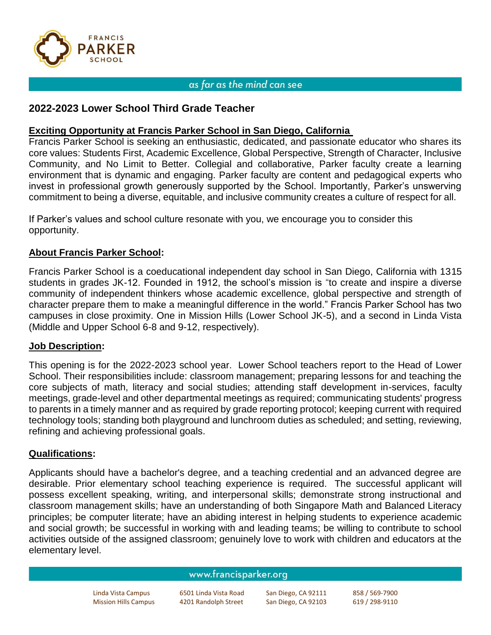

### as far as the mind can see

# **2022-2023 Lower School Third Grade Teacher**

# **Exciting Opportunity at Francis Parker School in San Diego, California**

Francis Parker School is seeking an enthusiastic, dedicated, and passionate educator who shares its core values: Students First, Academic Excellence, Global Perspective, Strength of Character, Inclusive Community, and No Limit to Better. Collegial and collaborative, Parker faculty create a learning environment that is dynamic and engaging. Parker faculty are content and pedagogical experts who invest in professional growth generously supported by the School. Importantly, Parker's unswerving commitment to being a diverse, equitable, and inclusive community creates a culture of respect for all.

If Parker's values and school culture resonate with you, we encourage you to consider this opportunity.

## **About Francis Parker School:**

Francis Parker School is a coeducational independent day school in San Diego, California with 1315 students in grades JK-12. Founded in 1912, the school's mission is "to create and inspire a diverse community of independent thinkers whose academic excellence, global perspective and strength of character prepare them to make a meaningful difference in the world." Francis Parker School has two campuses in close proximity. One in Mission Hills (Lower School JK-5), and a second in Linda Vista (Middle and Upper School 6-8 and 9-12, respectively).

## **Job Description:**

This opening is for the 2022-2023 school year. Lower School teachers report to the Head of Lower School. Their responsibilities include: classroom management; preparing lessons for and teaching the core subjects of math, literacy and social studies; attending staff development in-services, faculty meetings, grade-level and other departmental meetings as required; communicating students' progress to parents in a timely manner and as required by grade reporting protocol; keeping current with required technology tools; standing both playground and lunchroom duties as scheduled; and setting, reviewing, refining and achieving professional goals.

## **Qualifications:**

Applicants should have a bachelor's degree, and a teaching credential and an advanced degree are desirable. Prior elementary school teaching experience is required. The successful applicant will possess excellent speaking, writing, and interpersonal skills; demonstrate strong instructional and classroom management skills; have an understanding of both Singapore Math and Balanced Literacy principles; be computer literate; have an abiding interest in helping students to experience academic and social growth; be successful in working with and leading teams; be willing to contribute to school activities outside of the assigned classroom; genuinely love to work with children and educators at the elementary level.

#### www.francisparker.org

Mission Hills Campus 4201 Randolph Street San Diego, CA 92103 619 / 298-9110

Linda Vista Campus 6501 Linda Vista Road San Diego, CA 92111 858 / 569-7900